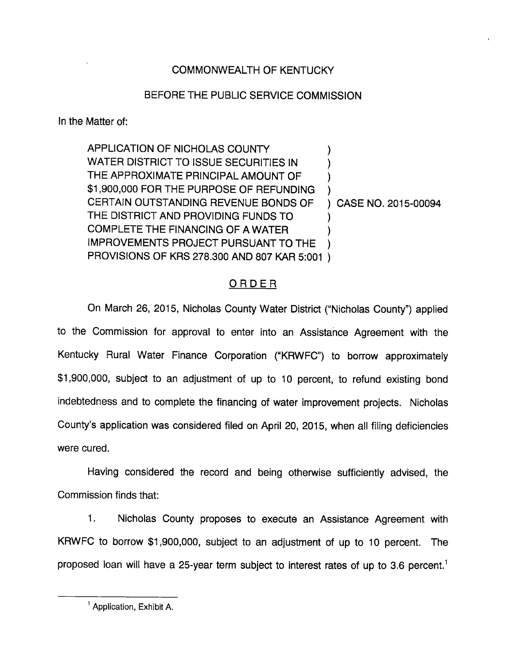## COMMONWEALTH OF KENTUCKY

## BEFORE THE PUBLIC SERVICE COMMISSION

In the Matter of:

APPLICATION OF NICHOLAS COUNTY  $\mathcal{E}$ WATER DISTRICT TO ISSUE SECURITIES IN THE APPROXIMATE PRINCIPAL AMOUNT OF \$1,900,000 FOR THE PURPOSE OF REFUNDING CERTAIN OUTSTANDING REVENUE BONDS OF CASE NO. 2015-00094 THE DISTRICT AND PROVIDING FUNDS TO COMPLETE THE FINANCING OF A WATER IMPROVEMENTS PROJECT PURSUANT TO THE PROVISIONS OF KRS 278.300 AND 807 KAR 5:001

## ORDER

On March 26, 2015, Nicholas County Water District ("Nicholas County") applied to the Commission for approval to enter into an Assistance Agreement with the Kentucky Rural Water Finance Corporation ("KRWFC") to borrow approximately \$1,900,000, subject to an adjustment of up to 10 percent, to refund existing bond indebtedness and to complete the financing of water improvement projects. Nicholas County's application was considered filed on April 20, 2015, when all filing deficiencies were cured.

Having considered the record and being otherwise sufficiently advised, the Commission finds that:

1. Nicholas County proposes to execute an Assistance Agreement with KRWFC to borrow \$1,900,000, subject to an adjustment of up to 10 percent. The proposed loan will have a 25-year term subject to interest rates of up to 3.6 percent.<sup>1</sup>

 $^1$  Application, Exhibit A.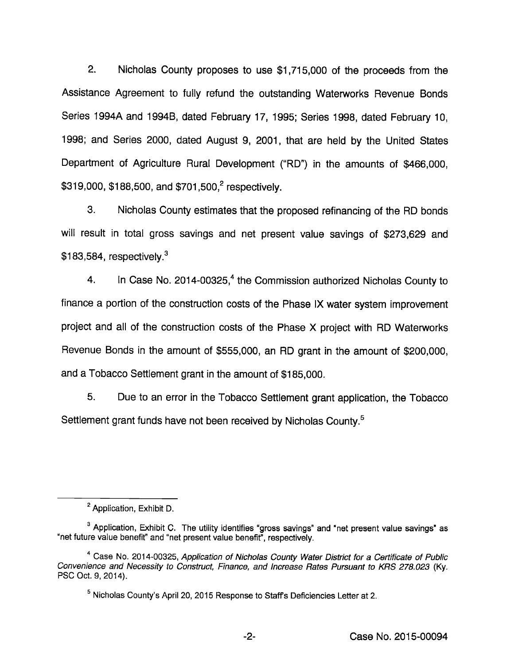2. Nicholas County proposes to use \$1,715,000 of the proceeds from the Assistance Agreement to fully refund the outstanding Waterworks Revenue Bonds Series 1994A and 1994B, dated February 17, 1995; Series 1998, dated February 10, 1998; and Series 2000, dated August 9, 2001, that are held by the United States Department of Agriculture Rural Development ("RD") in the amounts of \$466,000, \$319,000, \$188,500, and \$701,500,<sup>2</sup> respectively.

3. Nicholas County estimates that the proposed refinancing of the RD bonds will result in total gross savings and net present value savings of \$273,629 and  $$183,584$ , respectively.<sup>3</sup>

4. In Case No. 2014-00325, $<sup>4</sup>$  the Commission authorized Nicholas County to</sup> finance a portion of the construction costs of the Phase iX water system improvement project and ail of the construction costs of the Phase X project with RD Waterworks Revenue Bonds in the amount of \$555,000, an RD grant in the amount of \$200,000, and a Tobacco Settlement grant in the amount of \$185,000.

5. Due to an error in the Tobacco Settlement grant application, the Tobacco Settlement grant funds have not been received by Nicholas County.<sup>5</sup>

<sup>&</sup>lt;sup>2</sup> Application, Exhibit D.

 $^3$  Application, Exhibit C. The utility identifies "gross savings" and "net present value savings" as "net future value benefit" and "net present value benefit", respectively.

<sup>&</sup>lt;sup>4</sup> Case No. 2014-00325, Application of Nicholas County Water District for a Certificate of Public Convenience and Necessity to Construct, Finance, and Increase Rates Pursuant to KRS 278.023 (Ky. PSO Oct. 9, 2014).

<sup>&</sup>lt;sup>5</sup> Nicholas County's April 20, 2015 Response to Staff's Deficiencies Letter at 2.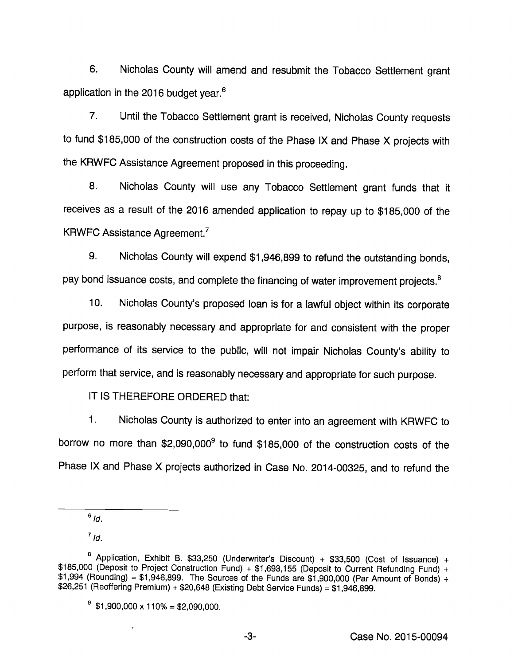6. Nicholas County will amend and resubmit the Tobacco Settlement grant application in the 2016 budget year. $6$ 

7. Until the Tobacco Settlement grant is received, Nicholas County requests to fund \$185,000 of the construction costs of the Phase IX and Phase X projects with the KRWFC Assistance Agreement proposed in this proceeding.

8. Nicholas County will use any Tobacco Settlement grant funds that it receives as a result of the 2016 amended application to repay up to \$185,000 of the KRWFC Assistance Agreement.<sup>7</sup>

9. Nicholas County will expend \$1,946,899 to refund the outstanding bonds, pay bond issuance costs, and complete the financing of water improvement projects.<sup>8</sup>

10. Nicholas County's proposed loan isfor a lawful object within its corporate purpose, is reasonably necessary and appropriate for and consistent with the proper performance of its service to the public, will not impair Nicholas County's ability to perform that service, and is reasonably necessary and appropriate for such purpose.

IT IS THEREFORE ORDERED that:

1. Nicholas County is authorized to enter into an agreement with KRWFC to borrow no more than \$2,090,000<sup>9</sup> to fund \$185,000 of the construction costs of the Phase IX and Phase X projects authorized in Case No. 2014-00325, and to refund the

 $^7$  Id.

 $\ddot{\phantom{a}}$ 

 $6/d.$ 

<sup>&</sup>lt;sup>8</sup> Application, Exhibit B. \$33,250 (Underwriter's Discount) + \$33,500 (Cost of Issuance) + \$185,000 (Deposit to Project Construction Fund) + \$1,693,155 (Deposit to Current Refunding Fund) +  $$1,994$  (Rounding) = \$1,946,899. The Sources of the Funds are  $$1,900,000$  (Par Amount of Bonds) +  $$26,251$  (Reoffering Premium) +  $$20,648$  (Existing Debt Service Funds) =  $$1,946,899$ .

 $\degree$  \$1,900,000 x 110% = \$2,090,000.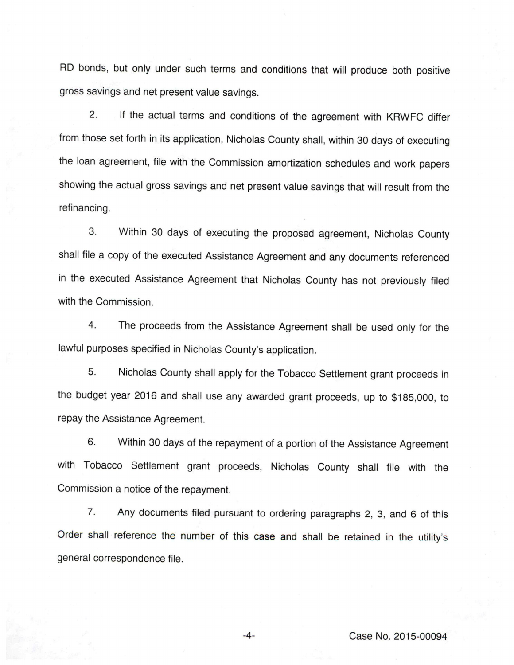RD bonds, but only under such terms and conditions that will produce both positive gross savings and net present value savings.

2. If the actual terms and conditions of the agreement with KRWFC differ from those set forth in its application, Nicholas County shall, within 30 days of executing the loan agreement, file with the Commission amortization schedules and work papers showing the actual gross savings and net present value savings that will result from the refinancing.

3. Within 30 days of executing the proposed agreement, Nicholas County shall file a copy of the executed Assistance Agreement and any documents referenced in the executed Assistance Agreement that Nicholas County has not previously filed with the Commission.

4. The proceeds from the Assistance Agreement shall be used only for the lawful purposes specified in Nicholas County's application.

5. Nicholas County shall apply for the Tobacco Settlement grant proceeds in the budget year 2016 and shall use any awarded grant proceeds, up to \$185,000, to repay the Assistance Agreement.

6. Within 30 days of the repayment of a portion of the Assistance Agreement with Tobacco Settlement grant proceeds, Nicholas County shall file with the Commission a notice of the repayment.

7. Any documents filed pursuant to ordering paragraphs 2, 3, and 6 of this Order shall reference the number of this case and shall be retained in the utility's general correspondence file.

-4- Case No. 2015-00094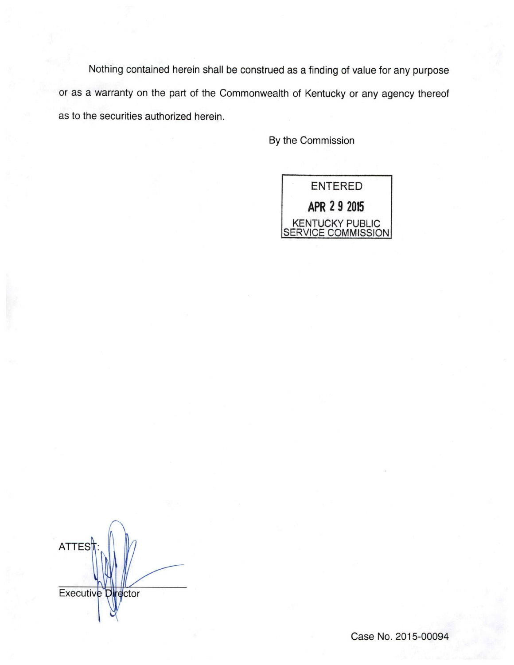Nothing contained herein shall be construed as a finding of value for any purpose or as a warranty on the part of the Commonwealth of Kentucky or any agency thereof as to the securities authorized herein.

By the Commission



**ATTES** Executive Director

Case No. 2015-00094